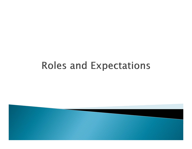### **Roles and Expectations**

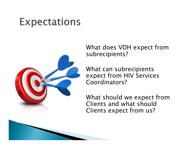### **Expectations**



What does VDH expect from subrecipients?

What can subrecipients expect from HIV Services Coordinators?

What should we expect from Clients and what should Clients expect from us?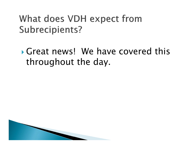### What does VDH expect from Subrecipients?

#### Great news! We have covered this throughout the day.

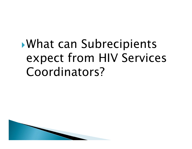## What can Subrecipients expect from HIV Services Coordinators?

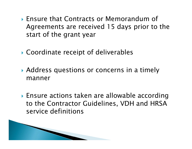- Ensure that Contracts or Memorandum of Agreements are received 15 days prior to the start of the grant year
- Coordinate receipt of deliverables
- Address questions or concerns in a timely manner
- Ensure actions taken are allowable according to the Contractor Guidelines, VDH and HRSA service definitions

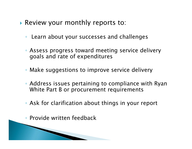- Review your monthly reports to:
	- $\bullet$ Learn about your successes and challenges
	- Assess progress toward meeting service delivery goals and rate of expenditures
	- Make suggestions to improve service delivery
	- Address issues pertaining to compliance with Ryan White Part B or procurement requirements
	- Ask for clarification about things in your report
	- Provide written feedback

**MARRIED STATES**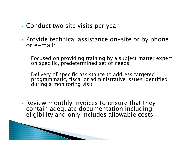Conduct two site visits per year

**MARTING COMMANDS** 

- ▶ Provide technical assistance on-site or by phone<br>or e-mail:
	- Focused on providing training by a subject matter expert<br>on specific, predetermined set of needs
	- Delivery of specific assistance to address targeted programmatic, fiscal or administrative issues identified<br>during a monitoring visit
- Review monthly invoices to ensure that they contain adequate documentation including<br>eligibility and only includes allowable costs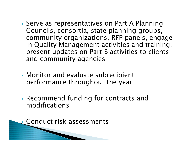- Serve as representatives on Part A Planning Councils, consortia, state planning groups, community organizations, RFP panels, engage in Quality Management activities and training, present updates on Part B activities to clients and community agencies
- Monitor and evaluate subrecipient performance throughout the year
- Recommend funding for contracts and modifications

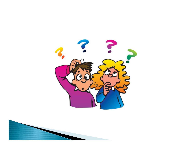

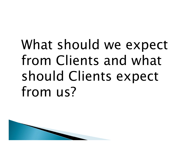# What should we expect from Clients and what should Clients expect from us?

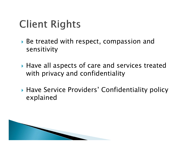## **Client Rights**

- Be treated with respect, compassion and sensitivity
- ▶ Have all aspects of care and services treated with privacy and confidentiality
- ▶ Have Service Providers' Confidentiality policy explained

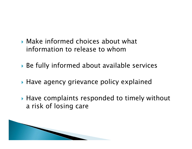- Make informed choices about what information to release to whom
- Be fully informed about available services
- $\blacktriangleright$  Have agency grievance policy explained
- $\blacktriangleright$  Have complaints responded to timely without a risk of losing care

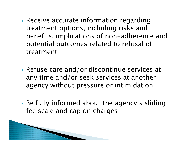- Receive accurate information regarding treatment options, including risks and benefits, implications of non-adherence and potential outcomes related to refusal of treatment
- Refuse care and/or discontinue services at any time and/or seek services at another agency without pressure or intimidation
- Be fully informed about the agency's sliding fee scale and cap on charges

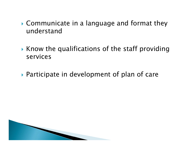- Communicate in a language and format they understand
- $\blacktriangleright$  Know the qualifications of the staff providing services
- Participate in development of plan of care

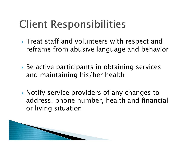### **Client Responsibilities**

- **Treat staff and volunteers with respect and** reframe from abusive language and behavior
- ▶ Be active participants in obtaining services and maintaining his/her health
- Notify service providers of any changes to address, phone number, health and financial or living situation

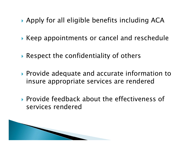- Apply for all eligible benefits including ACA
- Keep appointments or cancel and reschedule
- Respect the confidentiality of others
- ▶ Provide adequate and accurate information to insure appropriate services are rendered
- **Provide feedback about the effectiveness of** services rendered

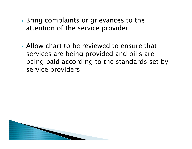- Bring complaints or grievances to the attention of the service provider
- Allow chart to be reviewed to ensure that services are being provided and bills are being paid according to the standards set by service providers